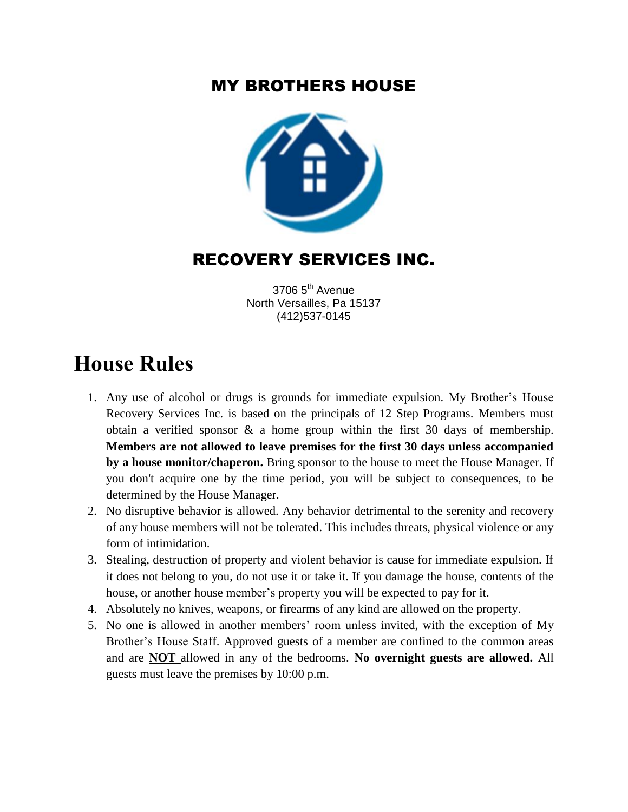### MY BROTHERS HOUSE



## RECOVERY SERVICES INC.

3706 5<sup>th</sup> Avenue North Versailles, Pa 15137 (412)537-0145

# **House Rules**

- 1. Any use of alcohol or drugs is grounds for immediate expulsion. My Brother's House Recovery Services Inc. is based on the principals of 12 Step Programs. Members must obtain a verified sponsor & a home group within the first 30 days of membership. **Members are not allowed to leave premises for the first 30 days unless accompanied by a house monitor/chaperon.** Bring sponsor to the house to meet the House Manager. If you don't acquire one by the time period, you will be subject to consequences, to be determined by the House Manager.
- 2. No disruptive behavior is allowed. Any behavior detrimental to the serenity and recovery of any house members will not be tolerated. This includes threats, physical violence or any form of intimidation.
- 3. Stealing, destruction of property and violent behavior is cause for immediate expulsion. If it does not belong to you, do not use it or take it. If you damage the house, contents of the house, or another house member's property you will be expected to pay for it.
- 4. Absolutely no knives, weapons, or firearms of any kind are allowed on the property.
- 5. No one is allowed in another members' room unless invited, with the exception of My Brother's House Staff. Approved guests of a member are confined to the common areas and are **NOT** allowed in any of the bedrooms. **No overnight guests are allowed.** All guests must leave the premises by 10:00 p.m.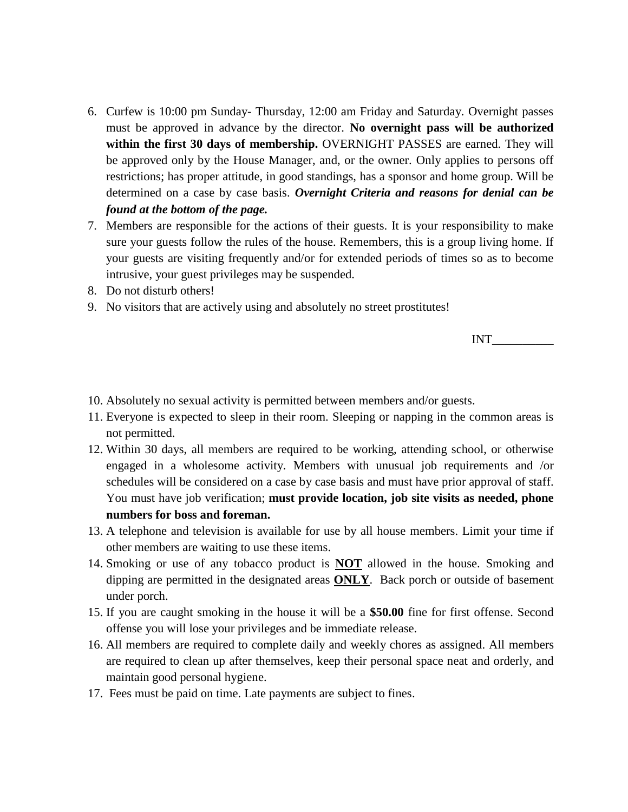- 6. Curfew is 10:00 pm Sunday- Thursday, 12:00 am Friday and Saturday. Overnight passes must be approved in advance by the director. **No overnight pass will be authorized within the first 30 days of membership.** OVERNIGHT PASSES are earned. They will be approved only by the House Manager, and, or the owner. Only applies to persons off restrictions; has proper attitude, in good standings, has a sponsor and home group. Will be determined on a case by case basis. *Overnight Criteria and reasons for denial can be found at the bottom of the page.*
- 7. Members are responsible for the actions of their guests. It is your responsibility to make sure your guests follow the rules of the house. Remembers, this is a group living home. If your guests are visiting frequently and/or for extended periods of times so as to become intrusive, your guest privileges may be suspended.
- 8. Do not disturb others!
- 9. No visitors that are actively using and absolutely no street prostitutes!

INT\_\_\_\_\_\_\_\_\_\_

- 10. Absolutely no sexual activity is permitted between members and/or guests.
- 11. Everyone is expected to sleep in their room. Sleeping or napping in the common areas is not permitted.
- 12. Within 30 days, all members are required to be working, attending school, or otherwise engaged in a wholesome activity. Members with unusual job requirements and /or schedules will be considered on a case by case basis and must have prior approval of staff. You must have job verification; **must provide location, job site visits as needed, phone numbers for boss and foreman.**
- 13. A telephone and television is available for use by all house members. Limit your time if other members are waiting to use these items.
- 14. Smoking or use of any tobacco product is **NOT** allowed in the house. Smoking and dipping are permitted in the designated areas **ONLY**. Back porch or outside of basement under porch.
- 15. If you are caught smoking in the house it will be a **\$50.00** fine for first offense. Second offense you will lose your privileges and be immediate release.
- 16. All members are required to complete daily and weekly chores as assigned. All members are required to clean up after themselves, keep their personal space neat and orderly, and maintain good personal hygiene.
- 17. Fees must be paid on time. Late payments are subject to fines.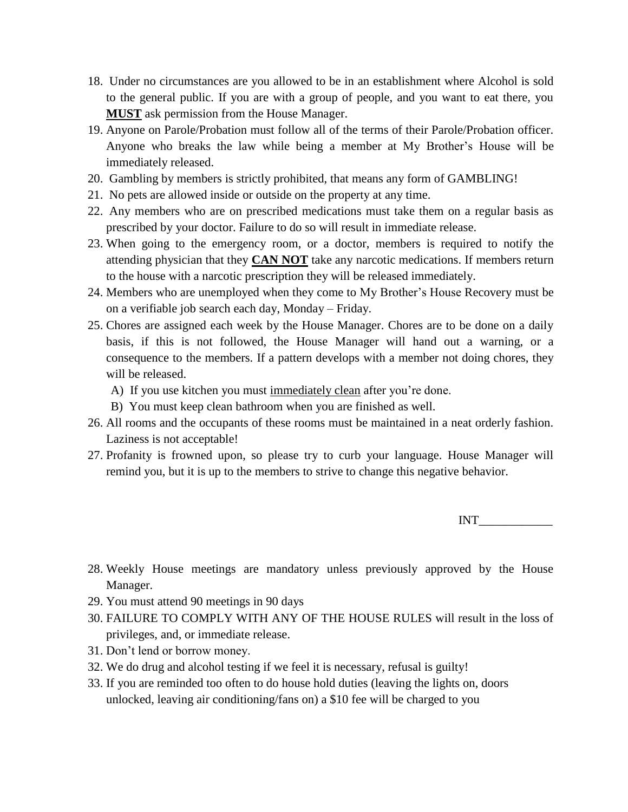- 18. Under no circumstances are you allowed to be in an establishment where Alcohol is sold to the general public. If you are with a group of people, and you want to eat there, you **MUST** ask permission from the House Manager.
- 19. Anyone on Parole/Probation must follow all of the terms of their Parole/Probation officer. Anyone who breaks the law while being a member at My Brother's House will be immediately released.
- 20. Gambling by members is strictly prohibited, that means any form of GAMBLING!
- 21. No pets are allowed inside or outside on the property at any time.
- 22. Any members who are on prescribed medications must take them on a regular basis as prescribed by your doctor. Failure to do so will result in immediate release.
- 23. When going to the emergency room, or a doctor, members is required to notify the attending physician that they **CAN NOT** take any narcotic medications. If members return to the house with a narcotic prescription they will be released immediately.
- 24. Members who are unemployed when they come to My Brother's House Recovery must be on a verifiable job search each day, Monday – Friday.
- 25. Chores are assigned each week by the House Manager. Chores are to be done on a daily basis, if this is not followed, the House Manager will hand out a warning, or a consequence to the members. If a pattern develops with a member not doing chores, they will be released.
	- A) If you use kitchen you must immediately clean after you're done.
	- B) You must keep clean bathroom when you are finished as well.
- 26. All rooms and the occupants of these rooms must be maintained in a neat orderly fashion. Laziness is not acceptable!
- 27. Profanity is frowned upon, so please try to curb your language. House Manager will remind you, but it is up to the members to strive to change this negative behavior.

INT\_\_\_\_\_\_\_\_\_\_\_\_

- 28. Weekly House meetings are mandatory unless previously approved by the House Manager.
- 29. You must attend 90 meetings in 90 days
- 30. FAILURE TO COMPLY WITH ANY OF THE HOUSE RULES will result in the loss of privileges, and, or immediate release.
- 31. Don't lend or borrow money.
- 32. We do drug and alcohol testing if we feel it is necessary, refusal is guilty!
- 33. If you are reminded too often to do house hold duties (leaving the lights on, doors unlocked, leaving air conditioning/fans on) a \$10 fee will be charged to you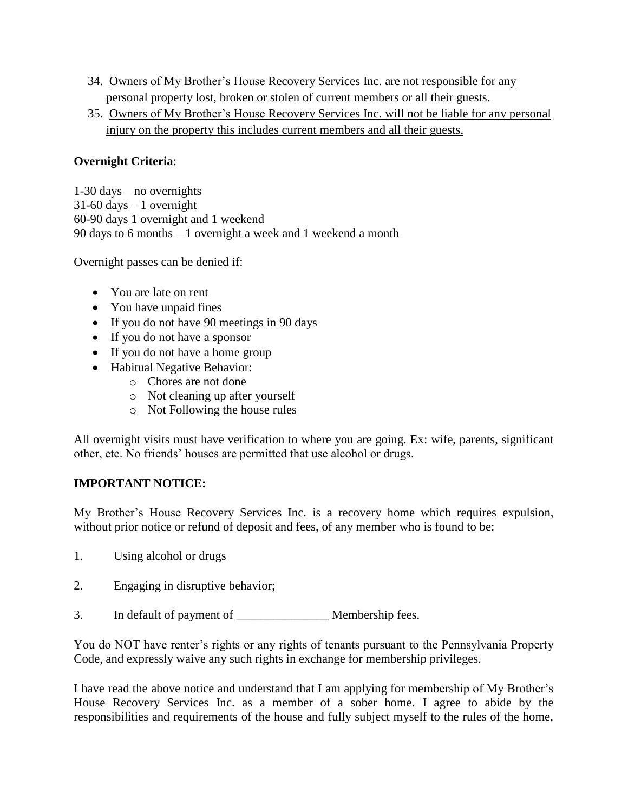- 34. Owners of My Brother's House Recovery Services Inc. are not responsible for any personal property lost, broken or stolen of current members or all their guests.
- 35. Owners of My Brother's House Recovery Services Inc. will not be liable for any personal injury on the property this includes current members and all their guests.

#### **Overnight Criteria**:

1-30 days – no overnights  $31-60$  days  $-1$  overnight 60-90 days 1 overnight and 1 weekend 90 days to 6 months – 1 overnight a week and 1 weekend a month

Overnight passes can be denied if:

- You are late on rent
- You have unpaid fines
- If you do not have 90 meetings in 90 days
- If you do not have a sponsor
- If you do not have a home group
- Habitual Negative Behavior:
	- o Chores are not done
	- o Not cleaning up after yourself
	- o Not Following the house rules

All overnight visits must have verification to where you are going. Ex: wife, parents, significant other, etc. No friends' houses are permitted that use alcohol or drugs.

#### **IMPORTANT NOTICE:**

My Brother's House Recovery Services Inc. is a recovery home which requires expulsion, without prior notice or refund of deposit and fees, of any member who is found to be:

- 1. Using alcohol or drugs
- 2. Engaging in disruptive behavior;
- 3. In default of payment of membership fees.

You do NOT have renter's rights or any rights of tenants pursuant to the Pennsylvania Property Code, and expressly waive any such rights in exchange for membership privileges.

I have read the above notice and understand that I am applying for membership of My Brother's House Recovery Services Inc. as a member of a sober home. I agree to abide by the responsibilities and requirements of the house and fully subject myself to the rules of the home,